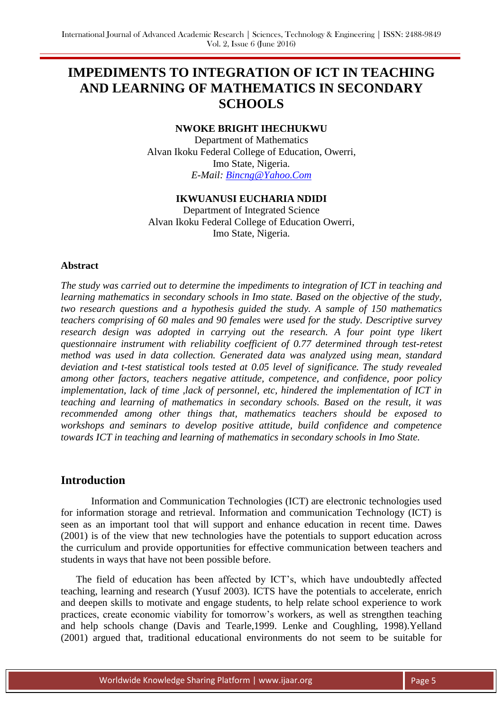# **IMPEDIMENTS TO INTEGRATION OF ICT IN TEACHING AND LEARNING OF MATHEMATICS IN SECONDARY SCHOOLS**

## **NWOKE BRIGHT IHECHUKWU**

Department of Mathematics Alvan Ikoku Federal College of Education, Owerri, Imo State, Nigeria. *E-Mail: [Bincng@Yahoo.Com](mailto:bincng@yahoo.com)*

## **IKWUANUSI EUCHARIA NDIDI**

Department of Integrated Science Alvan Ikoku Federal College of Education Owerri, Imo State, Nigeria.

#### **Abstract**

*The study was carried out to determine the impediments to integration of ICT in teaching and learning mathematics in secondary schools in Imo state. Based on the objective of the study, two research questions and a hypothesis guided the study. A sample of 150 mathematics teachers comprising of 60 males and 90 females were used for the study. Descriptive survey research design was adopted in carrying out the research. A four point type likert questionnaire instrument with reliability coefficient of 0.77 determined through test-retest method was used in data collection. Generated data was analyzed using mean, standard deviation and t-test statistical tools tested at 0.05 level of significance. The study revealed among other factors, teachers negative attitude, competence, and confidence, poor policy implementation, lack of time ,lack of personnel, etc, hindered the implementation of ICT in teaching and learning of mathematics in secondary schools. Based on the result, it was recommended among other things that, mathematics teachers should be exposed to workshops and seminars to develop positive attitude, build confidence and competence towards ICT in teaching and learning of mathematics in secondary schools in Imo State.* 

# **Introduction**

Information and Communication Technologies (ICT) are electronic technologies used for information storage and retrieval. Information and communication Technology (ICT) is seen as an important tool that will support and enhance education in recent time. Dawes (2001) is of the view that new technologies have the potentials to support education across the curriculum and provide opportunities for effective communication between teachers and students in ways that have not been possible before.

 The field of education has been affected by ICT's, which have undoubtedly affected teaching, learning and research (Yusuf 2003). ICTS have the potentials to accelerate, enrich and deepen skills to motivate and engage students, to help relate school experience to work practices, create economic viability for tomorrow's workers, as well as strengthen teaching and help schools change (Davis and Tearle,1999. Lenke and Coughling, 1998).Yelland (2001) argued that, traditional educational environments do not seem to be suitable for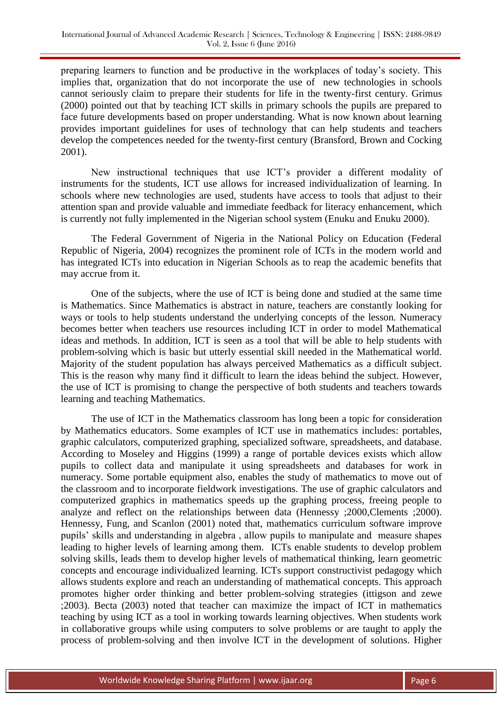preparing learners to function and be productive in the workplaces of today's society. This implies that, organization that do not incorporate the use of new technologies in schools cannot seriously claim to prepare their students for life in the twenty-first century. Grimus (2000) pointed out that by teaching ICT skills in primary schools the pupils are prepared to face future developments based on proper understanding. What is now known about learning provides important guidelines for uses of technology that can help students and teachers develop the competences needed for the twenty-first century (Bransford, Brown and Cocking 2001).

New instructional techniques that use ICT's provider a different modality of instruments for the students, ICT use allows for increased individualization of learning. In schools where new technologies are used, students have access to tools that adjust to their attention span and provide valuable and immediate feedback for literacy enhancement, which is currently not fully implemented in the Nigerian school system (Enuku and Enuku 2000).

The Federal Government of Nigeria in the National Policy on Education (Federal Republic of Nigeria, 2004) recognizes the prominent role of ICTs in the modern world and has integrated ICTs into education in Nigerian Schools as to reap the academic benefits that may accrue from it.

One of the subjects, where the use of ICT is being done and studied at the same time is Mathematics. Since Mathematics is abstract in nature, teachers are constantly looking for ways or tools to help students understand the underlying concepts of the lesson. Numeracy becomes better when teachers use resources including ICT in order to model Mathematical ideas and methods. In addition, ICT is seen as a tool that will be able to help students with problem-solving which is basic but utterly essential skill needed in the Mathematical world. Majority of the student population has always perceived Mathematics as a difficult subject. This is the reason why many find it difficult to learn the ideas behind the subject. However, the use of ICT is promising to change the perspective of both students and teachers towards learning and teaching Mathematics.

The use of ICT in the Mathematics classroom has long been a topic for consideration by Mathematics educators. Some examples of ICT use in mathematics includes: portables, graphic calculators, computerized graphing, specialized software, spreadsheets, and database. According to Moseley and Higgins (1999) a range of portable devices exists which allow pupils to collect data and manipulate it using spreadsheets and databases for work in numeracy. Some portable equipment also, enables the study of mathematics to move out of the classroom and to incorporate fieldwork investigations. The use of graphic calculators and computerized graphics in mathematics speeds up the graphing process, freeing people to analyze and reflect on the relationships between data (Hennessy ;2000,Clements ;2000). Hennessy, Fung, and Scanlon (2001) noted that, mathematics curriculum software improve pupils' skills and understanding in algebra , allow pupils to manipulate and measure shapes leading to higher levels of learning among them. ICTs enable students to develop problem solving skills, leads them to develop higher levels of mathematical thinking, learn geometric concepts and encourage individualized learning. ICTs support constructivist pedagogy which allows students explore and reach an understanding of mathematical concepts. This approach promotes higher order thinking and better problem-solving strategies (ittigson and zewe ;2003). Becta (2003) noted that teacher can maximize the impact of ICT in mathematics teaching by using ICT as a tool in working towards learning objectives. When students work in collaborative groups while using computers to solve problems or are taught to apply the process of problem-solving and then involve ICT in the development of solutions. Higher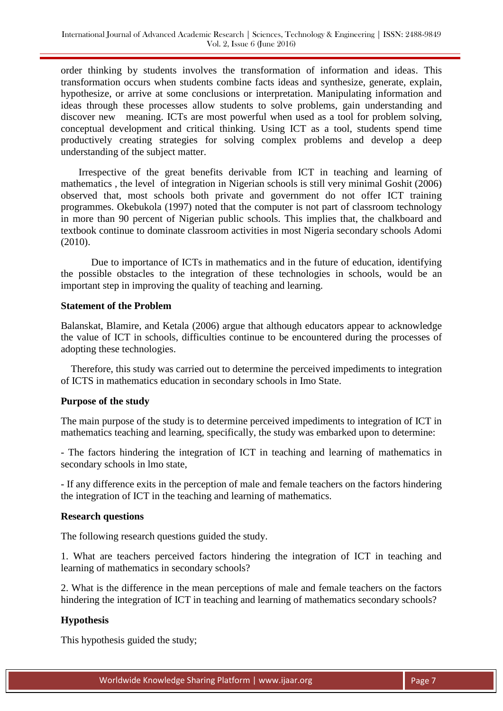order thinking by students involves the transformation of information and ideas. This transformation occurs when students combine facts ideas and synthesize, generate, explain, hypothesize, or arrive at some conclusions or interpretation. Manipulating information and ideas through these processes allow students to solve problems, gain understanding and discover new meaning. ICTs are most powerful when used as a tool for problem solving, conceptual development and critical thinking. Using ICT as a tool, students spend time productively creating strategies for solving complex problems and develop a deep understanding of the subject matter.

 Irrespective of the great benefits derivable from ICT in teaching and learning of mathematics , the level of integration in Nigerian schools is still very minimal Goshit (2006) observed that, most schools both private and government do not offer ICT training programmes. Okebukola (1997) noted that the computer is not part of classroom technology in more than 90 percent of Nigerian public schools. This implies that, the chalkboard and textbook continue to dominate classroom activities in most Nigeria secondary schools Adomi (2010).

Due to importance of ICTs in mathematics and in the future of education, identifying the possible obstacles to the integration of these technologies in schools, would be an important step in improving the quality of teaching and learning.

## **Statement of the Problem**

Balanskat, Blamire, and Ketala (2006) argue that although educators appear to acknowledge the value of ICT in schools, difficulties continue to be encountered during the processes of adopting these technologies.

 Therefore, this study was carried out to determine the perceived impediments to integration of ICTS in mathematics education in secondary schools in Imo State.

## **Purpose of the study**

The main purpose of the study is to determine perceived impediments to integration of ICT in mathematics teaching and learning, specifically, the study was embarked upon to determine:

- The factors hindering the integration of ICT in teaching and learning of mathematics in secondary schools in lmo state,

- If any difference exits in the perception of male and female teachers on the factors hindering the integration of ICT in the teaching and learning of mathematics.

#### **Research questions**

The following research questions guided the study.

1. What are teachers perceived factors hindering the integration of ICT in teaching and learning of mathematics in secondary schools?

2. What is the difference in the mean perceptions of male and female teachers on the factors hindering the integration of ICT in teaching and learning of mathematics secondary schools?

#### **Hypothesis**

This hypothesis guided the study;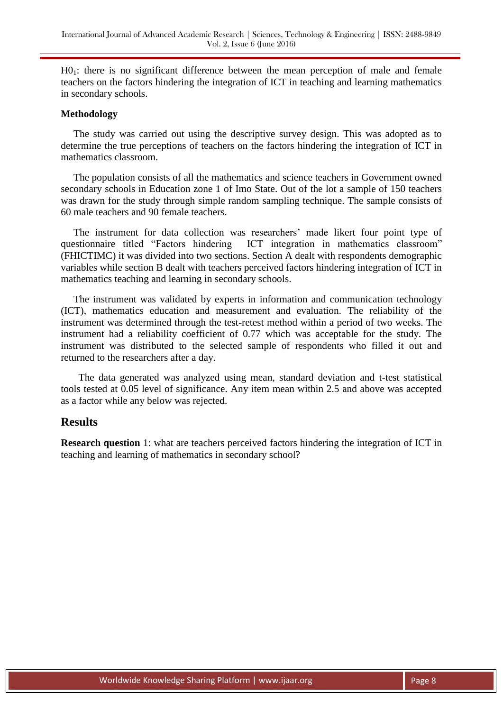H01: there is no significant difference between the mean perception of male and female teachers on the factors hindering the integration of ICT in teaching and learning mathematics in secondary schools.

#### **Methodology**

 The study was carried out using the descriptive survey design. This was adopted as to determine the true perceptions of teachers on the factors hindering the integration of ICT in mathematics classroom.

 The population consists of all the mathematics and science teachers in Government owned secondary schools in Education zone 1 of Imo State. Out of the lot a sample of 150 teachers was drawn for the study through simple random sampling technique. The sample consists of 60 male teachers and 90 female teachers.

 The instrument for data collection was researchers' made likert four point type of questionnaire titled "Factors hindering ICT integration in mathematics classroom" (FHICTIMC) it was divided into two sections. Section A dealt with respondents demographic variables while section B dealt with teachers perceived factors hindering integration of ICT in mathematics teaching and learning in secondary schools.

 The instrument was validated by experts in information and communication technology (ICT), mathematics education and measurement and evaluation. The reliability of the instrument was determined through the test-retest method within a period of two weeks. The instrument had a reliability coefficient of 0.77 which was acceptable for the study. The instrument was distributed to the selected sample of respondents who filled it out and returned to the researchers after a day.

 The data generated was analyzed using mean, standard deviation and t-test statistical tools tested at 0.05 level of significance. Any item mean within 2.5 and above was accepted as a factor while any below was rejected.

# **Results**

**Research question** 1: what are teachers perceived factors hindering the integration of ICT in teaching and learning of mathematics in secondary school?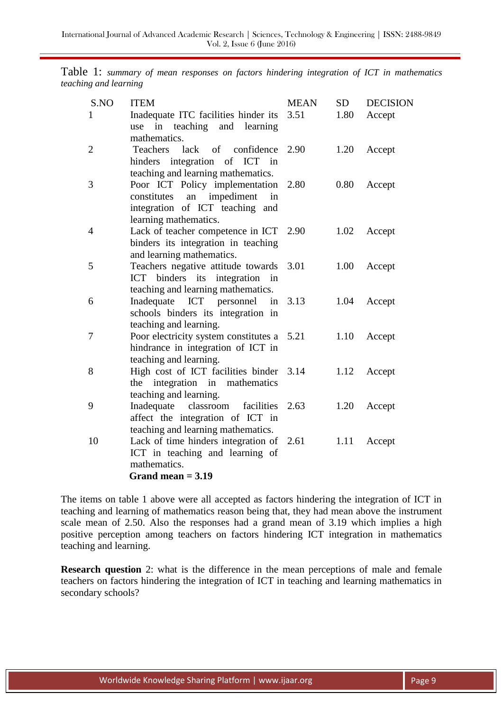Table 1: *summary of mean responses on factors hindering integration of ICT in mathematics teaching and learning*

|  | S.NO           | <b>ITEM</b>                                                                    | <b>MEAN</b> | <b>SD</b> | <b>DECISION</b> |
|--|----------------|--------------------------------------------------------------------------------|-------------|-----------|-----------------|
|  | 1              | Inadequate ITC facilities hinder its<br>in teaching and learning<br>use        | 3.51        | 1.80      | Accept          |
|  |                | mathematics.                                                                   |             |           |                 |
|  | $\overline{2}$ | lack<br>of confidence<br><b>Teachers</b>                                       | 2.90        | 1.20      | Accept          |
|  |                | integration of ICT in<br>hinders                                               |             |           |                 |
|  |                | teaching and learning mathematics.                                             |             |           |                 |
|  | 3              | Poor ICT Policy implementation                                                 | 2.80        | 0.80      | Accept          |
|  |                | impediment<br>constitutes<br>an<br>in                                          |             |           |                 |
|  |                | integration of ICT teaching and                                                |             |           |                 |
|  |                | learning mathematics.                                                          |             |           |                 |
|  | $\overline{4}$ | Lack of teacher competence in ICT 2.90                                         |             | 1.02      | Accept          |
|  |                | binders its integration in teaching<br>and learning mathematics.               |             |           |                 |
|  | 5              | Teachers negative attitude towards                                             | 3.01        | 1.00      | Accept          |
|  |                | ICT binders its integration in                                                 |             |           |                 |
|  |                | teaching and learning mathematics.                                             |             |           |                 |
|  | 6              | Inadequate ICT personnel                                                       | in 3.13     | 1.04      | Accept          |
|  |                | schools binders its integration in                                             |             |           |                 |
|  |                | teaching and learning.                                                         |             |           |                 |
|  | 7              | Poor electricity system constitutes a 5.21                                     |             | 1.10      | Accept          |
|  |                | hindrance in integration of ICT in                                             |             |           |                 |
|  |                | teaching and learning.                                                         |             |           |                 |
|  | 8              | High cost of ICT facilities binder 3.14                                        |             | 1.12      | Accept          |
|  |                | the integration in mathematics                                                 |             |           |                 |
|  |                | teaching and learning.                                                         |             |           |                 |
|  | 9              | Inadequate classroom<br>facilities                                             | 2.63        | 1.20      | Accept          |
|  |                | affect the integration of ICT in                                               |             |           |                 |
|  | 10             | teaching and learning mathematics.<br>Lack of time hinders integration of 2.61 |             | 1.11      |                 |
|  |                | ICT in teaching and learning of                                                |             |           | Accept          |
|  |                | mathematics.                                                                   |             |           |                 |
|  |                | Grand mean $= 3.19$                                                            |             |           |                 |
|  |                |                                                                                |             |           |                 |

The items on table 1 above were all accepted as factors hindering the integration of ICT in teaching and learning of mathematics reason being that, they had mean above the instrument scale mean of 2.50. Also the responses had a grand mean of 3.19 which implies a high positive perception among teachers on factors hindering ICT integration in mathematics teaching and learning.

**Research question** 2: what is the difference in the mean perceptions of male and female teachers on factors hindering the integration of ICT in teaching and learning mathematics in secondary schools?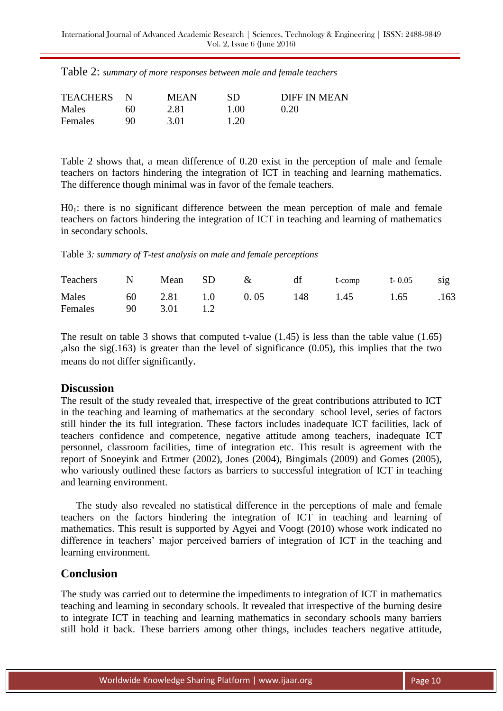| <b>TEACHERS</b> |    | <b>MEAN</b> | SD   | DIFF IN MEAN |
|-----------------|----|-------------|------|--------------|
| Males           | 60 | 2.81        | 1.00 | 0.20         |
| Females         | 90 | 3.01        | 1.20 |              |

Table 2 shows that, a mean difference of 0.20 exist in the perception of male and female teachers on factors hindering the integration of ICT in teaching and learning mathematics. The difference though minimal was in favor of the female teachers.

H01: there is no significant difference between the mean perception of male and female teachers on factors hindering the integration of ICT in teaching and learning of mathematics in secondary schools.

Table 3*: summary of T-test analysis on male and female perceptions*

| Teachers N Mean SD & df t-comp t-0.05 sig                        |  |  |  |  |
|------------------------------------------------------------------|--|--|--|--|
| Males 60 2.81 1.0 0.05 148 1.45 1.65 .163<br>Females 90 3.01 1.2 |  |  |  |  |

The result on table 3 shows that computed t-value (1.45) is less than the table value (1.65) ,also the sig(.163) is greater than the level of significance (0.05), this implies that the two means do not differ significantly.

### **Discussion**

The result of the study revealed that, irrespective of the great contributions attributed to ICT in the teaching and learning of mathematics at the secondary school level, series of factors still hinder the its full integration. These factors includes inadequate ICT facilities, lack of teachers confidence and competence, negative attitude among teachers, inadequate ICT personnel, classroom facilities, time of integration etc. This result is agreement with the report of Snoeyink and Ertmer (2002), Jones (2004), Bingimals (2009) and Gomes (2005), who variously outlined these factors as barriers to successful integration of ICT in teaching and learning environment.

 The study also revealed no statistical difference in the perceptions of male and female teachers on the factors hindering the integration of ICT in teaching and learning of mathematics. This result is supported by Agyei and Voogt (2010) whose work indicated no difference in teachers' major perceived barriers of integration of ICT in the teaching and learning environment.

# **Conclusion**

The study was carried out to determine the impediments to integration of ICT in mathematics teaching and learning in secondary schools. It revealed that irrespective of the burning desire to integrate ICT in teaching and learning mathematics in secondary schools many barriers still hold it back. These barriers among other things, includes teachers negative attitude,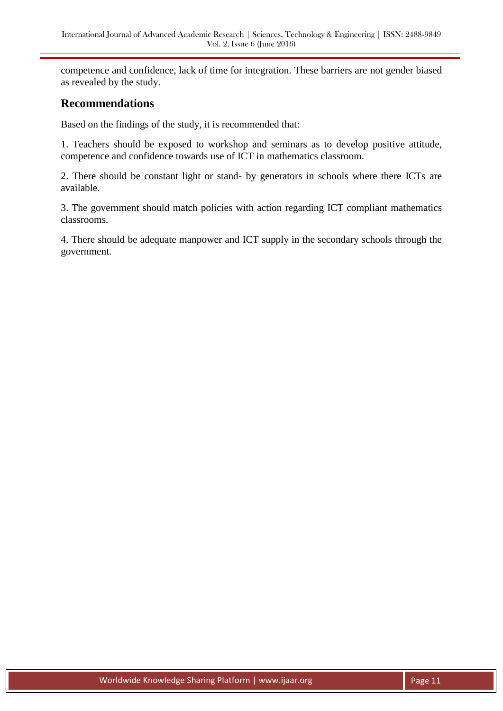competence and confidence, lack of time for integration. These barriers are not gender biased as revealed by the study.

# **Recommendations**

Based on the findings of the study, it is recommended that:

1. Teachers should be exposed to workshop and seminars as to develop positive attitude, competence and confidence towards use of ICT in mathematics classroom.

2. There should be constant light or stand- by generators in schools where there ICTs are available.

3. The government should match policies with action regarding ICT compliant mathematics classrooms.

4. There should be adequate manpower and ICT supply in the secondary schools through the government.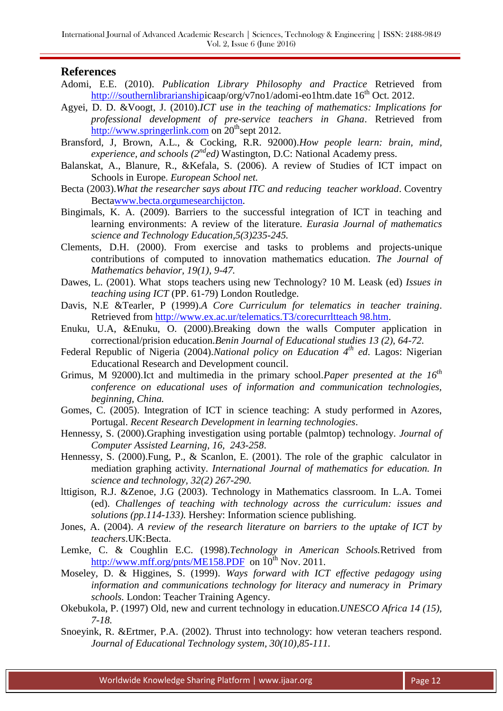## **References**

- Adomi, E.E. (2010). *Publication Library Philosophy and Practice* Retrieved from [http:///southernlibrarianshipi](http://southernlibrarianship/)caap/org/v7no1/adomi-eo1htm.date  $16^{th}$  Oct. 2012.
- Agyei, D. D. &Voogt, J. (2010).*ICT use in the teaching of mathematics: Implications for professional development of pre-service teachers in Ghana*. Retrieved from [http://www.springerlink.com](http://www.springerlink.com/) on  $20<sup>th</sup>$ sept 2012.
- Bransford, J, Brown, A.L., & Cocking, R.R. 92000).*How people learn: brain, mind, experience, and schools (2nded)* Wastington, D.C: National Academy press.
- Balanskat, A., Blanure, R., &Kefala, S. (2006). A review of Studies of ICT impact on Schools in Europe. *European School net.*
- Becta (2003).*What the researcher says about ITC and reducing teacher workload*. Coventry Bect[awww.becta.orgumesearchijcton.](http://www.becta.orgumesearchijcton/)
- Bingimals, K. A. (2009). Barriers to the successful integration of ICT in teaching and learning environments: A review of the literature. *Eurasia Journal of mathematics science and Technology Education,5(3)235-245.*
- Clements, D.H. (2000). From exercise and tasks to problems and projects-unique contributions of computed to innovation mathematics education. *The Journal of Mathematics behavior, 19(1), 9-47.*
- Dawes, L. (2001). What stops teachers using new Technology? 10 M. Leask (ed) *Issues in teaching using ICT* (PP. 61-79) London Routledge.
- Davis, N.E &Tearler, P (1999).*A Core Curriculum for telematics in teacher training*. Retrieved from [http://www.ex.ac.ur/telematics.T3/corecurrltteach 98.htm.](http://www.ex.ac.ur/telematics.T3/corecurrltteach%2098.htm)
- Enuku, U.A, &Enuku, O. (2000).Breaking down the walls Computer application in correctional/prision education.*Benin Journal of Educational studies 13 (2), 64-72.*
- Federal Republic of Nigeria (2004).*National policy on Education 4th ed*. Lagos: Nigerian Educational Research and Development council.
- Grimus, M 92000).Ict and multimedia in the primary school.*Paper presented at the 16th conference on educational uses of information and communication technologies, beginning, China.*
- Gomes, C. (2005). Integration of ICT in science teaching: A study performed in Azores, Portugal. *Recent Research Development in learning technologies*.
- Hennessy, S. (2000).Graphing investigation using portable (palmtop) technology. *Journal of Computer Assisted Learning, 16, 243-258*.
- Hennessy, S. (2000).Fung, P., & Scanlon, E. (2001). The role of the graphic calculator in mediation graphing activity. *International Journal of mathematics for education. In science and technology, 32(2) 267-290.*
- lttigison, R.J. &Zenoe, J.G (2003). Technology in Mathematics classroom. In L.A. Tomei (ed). *Challenges of teaching with technology across the curriculum: issues and solutions (pp.114-133).* Hershey: Information science publishing.
- Jones, A. (2004). *A review of the research literature on barriers to the uptake of ICT by teachers*.UK:Becta.
- Lemke, C. & Coughlin E.C. (1998).*Technology in American Schools.*Retrived from <http://www.mff.org/pnts/ME158.PDF>on  $10^{th}$  Nov. 2011.
- Moseley, D. & Higgines, S. (1999). *Ways forward with ICT effective pedagogy using information and communications technology for literacy and numeracy in Primary schools.* London: Teacher Training Agency.
- Okebukola, P. (1997) Old, new and current technology in education.*UNESCO Africa 14 (15), 7-18.*
- Snoeyink, R. &Ertmer, P.A. (2002). Thrust into technology: how veteran teachers respond. *Journal of Educational Technology system, 30(10),85-111.*